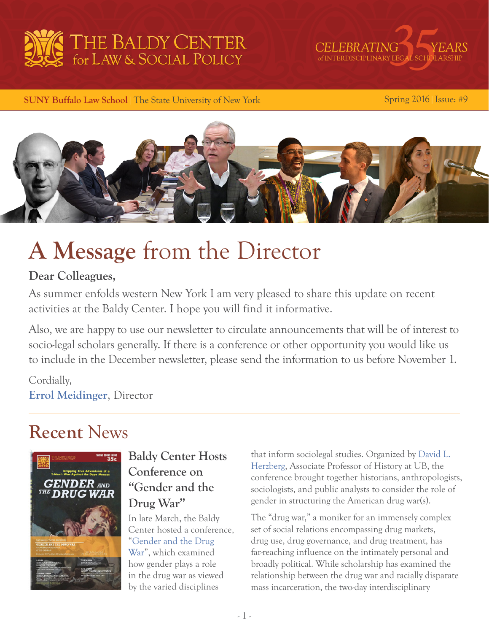



**SUNY Buffalo Law School | The State University of New York Spring 2016 | Issue: #9** 



# **A Message** from the Director

#### **Dear Colleagues,**

As summer enfolds western New York I am very pleased to share this update on recent activities at the Baldy Center. I hope you will find it informative.

Also, we are happy to use our newsletter to circulate announcements that will be of interest to socio-legal scholars generally. If there is a conference or other opportunity you would like us to include in the December newsletter, please send the information to us before November 1.

Cordially, **[Errol Meidinger](http://www.law.buffalo.edu/faculty/facultyDirectory/MeidingerErrol.html)**, Director

# **Recent** News



**Baldy Center Hosts** that inform sociolegal studies. Organized by David L.<br>
Herzberg, Associate Professor of History at UB, the **Conference on**<br> **Conference on**<br> **Conference brought together historians, anthropologists,**<br> **Conference brought together historians, anthropologists,** sociologists, and public analysts to consider the role of **Drug War"** gender in structuring the American drug war(s).

In late March, the Baldy The "drug war," a moniker for an immensely complex Center hosted a conference, set of social relations encompassing drug markets, "[Gender and the Drug](https://www.buffalo.edu/baldycenter/events/conferences.host.html/content/shared/www/baldycenter/conferences/gender.detail.html) drug use, drug governance, and drug treatment, has [War"](https://www.buffalo.edu/baldycenter/events/conferences.host.html/content/shared/www/baldycenter/conferences/gender.detail.html), which examined far-reaching influence on the intimately personal and how gender plays a role broadly political. While scholarship has examined the in the drug war as viewed relationship between the drug war and racially disparate by the varied disciplines mass incarceration, the two-day interdisciplinary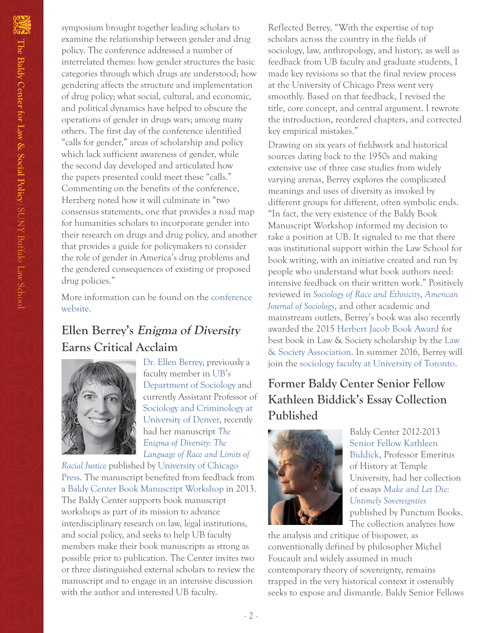symposium brought together leading scholars to examine the relationship between gender and drug policy. The conference addressed a number of interrelated themes: how gender structures the basic categories through which drugs are understood; how gendering affects the structure and implementation of drug policy; what social, cultural, and economic, and political dynamics have helped to obscure the operations of gender in drugs wars; among many others. The first day of the conference identified "calls for gender," areas of scholarship and policy which lack sufficient awareness of gender, while the second day developed and articulated how the papers presented could meet these "calls." Commenting on the benefits of the conference, Herzberg noted how it will culminate in "two consensus statements, one that provides a road map for humanities scholars to incorporate gender into their research on drugs and drug policy, and another that provides a guide for policymakers to consider the role of gender in America's drug problems and the gendered consequences of existing or proposed drug policies."

More information can be found on the [conference](https://www.buffalo.edu/baldycenter/events/conferences.host.html/content/shared/www/baldycenter/conferences/gender.detail.html)  [website](https://www.buffalo.edu/baldycenter/events/conferences.host.html/content/shared/www/baldycenter/conferences/gender.detail.html).

### **Ellen Berrey's Enigma of Diversity Earns Critical Acclaim**



[Dr. Ellen Berrey](http://www.ellenberrey.com/), previously a faculty member in [UB's](http://sociology.buffalo.edu/)  [Department of Sociology](http://sociology.buffalo.edu/) and currently Assistant Professor of [Sociology and Criminology at](http://%20sociology%20and%20criminology%20at%20university%20of%20denver/)  [University of Denver,](http://%20sociology%20and%20criminology%20at%20university%20of%20denver/) recently had her manuscript *[The](http://press.uchicago.edu/ucp/books/book/chicago/E/bo19910067.html)  [Enigma of Diversity: The](http://press.uchicago.edu/ucp/books/book/chicago/E/bo19910067.html)  [Language of Race and Limits of](http://press.uchicago.edu/ucp/books/book/chicago/E/bo19910067.html)* 

*[Racial Justice](http://press.uchicago.edu/ucp/books/book/chicago/E/bo19910067.html)* published by [University of Chicago](http://www.press.uchicago.edu/index.html)  [Press.](http://www.press.uchicago.edu/index.html) The manuscript benefited from feedback from a [Baldy Center Book Manuscript Workshop](https://www.buffalo.edu/baldycenter/applications/book-wrkshp.html) in 2013. The Baldy Center supports book manuscript workshops as part of its mission to advance interdisciplinary research on law, legal institutions, and social policy, and seeks to help UB faculty members make their book manuscripts as strong as possible prior to publication. The Center invites two or three distinguished external scholars to review the manuscript and to engage in an intensive discussion with the author and interested UB faculty.

Reflected Berrey, "With the expertise of top scholars across the country in the fields of sociology, law, anthropology, and history, as well as feedback from UB faculty and graduate students, I made key revisions so that the final review process at the University of Chicago Press went very smoothly. Based on that feedback, I revised the title, core concept, and central argument. I rewrote the introduction, reordered chapters, and corrected key empirical mistakes."

Drawing on six years of fieldwork and historical sources dating back to the 1950s and making extensive use of three case studies from widely varying arenas, Berrey explores the complicated meanings and uses of diversity as invoked by different groups for different, often symbolic ends. "In fact, the very existence of the Baldy Book Manuscript Workshop informed my decision to take a position at UB. It signaled to me that there was institutional support within the Law School for book writing, with an initiative created and run by people who understand what book authors need: intensive feedback on their written work." Positively reviewed in *[Sociology of Race and Ethnicity](http://sre.sagepub.com/)*, *[American](http://www.journals.uchicago.edu/toc/ajs/current)  [Journal of Sociology](http://www.journals.uchicago.edu/toc/ajs/current)*, and other academic and mainstream outlets, Berrey's book was also recently awarded the 2015 [Herbert Jacob Book Award](http://www.lawandsociety.org/awards.html#Jacob) for best book in Law & Society scholarship by the [Law](http://www.lawandsociety.org/index.html)  [& Society Association.](http://www.lawandsociety.org/index.html) In summer 2016, Berrey will join the [sociology faculty at University of Toronto.](http://sociology.utoronto.ca/Page4.aspx)

# **Former Baldy Center Senior Fellow Kathleen Biddick's Essay Collection Published**



Baldy Center 2012-2013 [Senior Fellow](https://www.buffalo.edu/baldycenter/people/s-fellows.html) [Kathleen](http://www.cla.temple.edu/history/faculty/kathleen-biddick/)  [Biddick,](http://www.cla.temple.edu/history/faculty/kathleen-biddick/) Professor Emeritus of History at Temple University, had her collection of essays *[Make and Let Die:](https://punctumbooks.com/titles/make-and-let-die-untimely-sovereignties/)  [Untimely Sovereignties](https://punctumbooks.com/titles/make-and-let-die-untimely-sovereignties/)* published by Punctum Books. The collection analyzes how

the analysis and critique of biopower, as conventionally defined by philosopher Michel Foucault and widely assumed in much contemporary theory of sovereignty, remains trapped in the very historical context it ostensibly seeks to expose and dismantle. Baldy Senior Fellows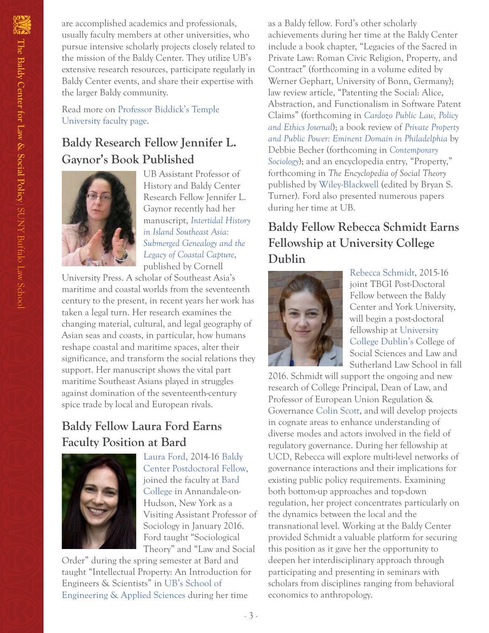are accomplished academics and professionals, usually faculty members at other universities, who pursue intensive scholarly projects closely related to the mission of the Baldy Center. They utilize UB's extensive research resources, participate regularly in Baldy Center events, and share their expertise with the larger Baldy community.

Read more on [Professor Biddick's Temple](http://www.cla.temple.edu/history/faculty/kathleen-biddick/)  [University faculty page.](http://www.cla.temple.edu/history/faculty/kathleen-biddick/)

# **Baldy Research Fellow Jennifer L. Gaynor's Book Published**



UB Assistant Professor of History and Baldy Center Research Fellow Jennifer L. Gaynor recently had her manuscript, *[Intertidal History](http://www.cornellpress.cornell.edu/book/?GCOI=80140100749580)  [in Island Southeast Asia:](http://www.cornellpress.cornell.edu/book/?GCOI=80140100749580)  [Submerged Genealogy and the](http://www.cornellpress.cornell.edu/book/?GCOI=80140100749580)  [Legacy of Coastal Capture](http://www.cornellpress.cornell.edu/book/?GCOI=80140100749580)*, published by Cornell

University Press. A scholar of Southeast Asia's maritime and coastal worlds from the seventeenth century to the present, in recent years her work has taken a legal turn. Her research examines the changing material, cultural, and legal geography of Asian seas and coasts, in particular, how humans reshape coastal and maritime spaces, alter their significance, and transform the social relations they support. Her manuscript shows the vital part maritime Southeast Asians played in struggles against domination of the seventeenth-century spice trade by local and European rivals.

#### **Baldy Fellow Laura Ford Earns Faculty Position at Bard**



[Laura Ford,](http://papers.ssrn.com/sol3/cf_dev/AbsByAuth.cfm?per_id=376952) 2014-16 [Baldy](http://www.buffalo.edu/baldycenter/people/postdocs.html)  [Center Postdoctoral Fellow,](http://www.buffalo.edu/baldycenter/people/postdocs.html) joined the faculty at [Bard](http://sociology.bard.edu/)  [College](http://sociology.bard.edu/) in Annandale-on-Hudson, New York as a Visiting Assistant Professor of Sociology in January 2016. Ford taught "Sociological Theory" and "Law and Social

Order" during the spring semester at Bard and taught "Intellectual Property: An Introduction for Engineers & Scientists" in [UB's School of](http://engineering.buffalo.edu/)  [Engineering & Applied Sciences](http://engineering.buffalo.edu/) during her time

as a Baldy fellow. Ford's other scholarly achievements during her time at the Baldy Center include a book chapter, "Legacies of the Sacred in Private Law: Roman Civic Religion, Property, and Contract" (forthcoming in a volume edited by Werner Gephart, University of Bonn, Germany); law review article, "Patenting the Social: Alice, Abstraction, and Functionalism in Software Patent Claims" (forthcoming in *[Cardozo Public Law, Policy](http://www.cardozo.yu.edu/faculty-intellectual-life/journals/cardozo-public-law-policy-and-ethics-journal)  [and Ethics Journal](http://www.cardozo.yu.edu/faculty-intellectual-life/journals/cardozo-public-law-policy-and-ethics-journal)*); a book review of *[Private Property](https://global.oup.com/academic/product/private-property-and-public-power-9780199322541?cc=us&lang=en&)  [and Public Power: Eminent Domain in Philadelphia](https://global.oup.com/academic/product/private-property-and-public-power-9780199322541?cc=us&lang=en&)* by Debbie Becher (forthcoming in *[Contemporary](http://csx.sagepub.com/)  [Sociology](http://csx.sagepub.com/)*); and an encyclopedia entry, "Property," forthcoming in *The Encyclopedia of Social Theory* published by [Wiley-Blackwell](http://www.wiley.com/WileyCDA/Brand/id-35.html) (edited by Bryan S. Turner). Ford also presented numerous papers during her time at UB.

# **Baldy Fellow Rebecca Schmidt Earns Fellowship at University College Dublin**



[Rebecca Schmidt](https://www.buffalo.edu/baldycenter/people/postdocs.html#title_5), 2015-16 joint TBGI Post-Doctoral Fellow between the Baldy Center and York University, will begin a post-doctoral fellowship at [University](http://www.ucd.ie/)  [College Dublin's](http://www.ucd.ie/) College of Social Sciences and Law and Sutherland Law School in fall

2016. Schmidt will support the ongoing and new research of College Principal, Dean of Law, and Professor of European Union Regulation & Governance [Colin Scott](http://www.ucd.ie/research/people/co-humansciences/professorcolinscott/), and will develop projects in cognate areas to enhance understanding of diverse modes and actors involved in the field of regulatory governance. During her fellowship at UCD, Rebecca will explore multi-level networks of governance interactions and their implications for existing public policy requirements. Examining both bottom-up approaches and top-down regulation, her project concentrates particularly on the dynamics between the local and the transnational level. Working at the Baldy Center provided Schmidt a valuable platform for securing this position as it gave her the opportunity to deepen her interdisciplinary approach through participating and presenting in seminars with scholars from disciplines ranging from behavioral economics to anthropology.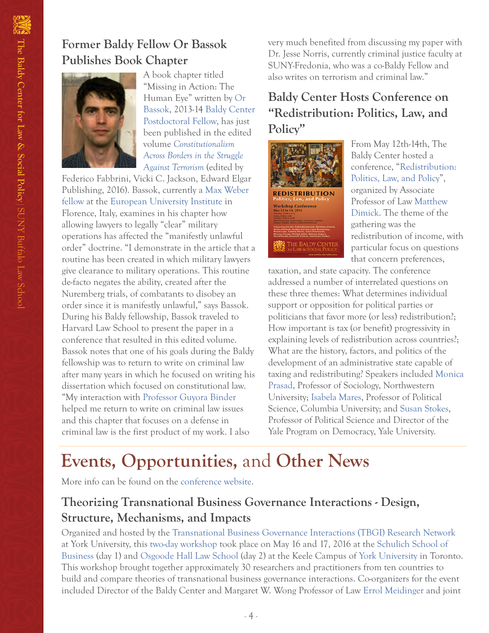#### **Former Baldy Fellow Or Bassok Publishes Book Chapter**



A book chapter titled "Missing in Action: The Human Eye" written by [Or](http://papers.ssrn.com/sol3/cf_dev/AbsByAuth.cfm?per_id=835122)  [Bassok](http://papers.ssrn.com/sol3/cf_dev/AbsByAuth.cfm?per_id=835122), 2013-14 [Baldy Center](http://www.buffalo.edu/baldycenter/people/postdocs.html.host.html/content/shared/www/baldycenter/fellows-16/ford.detail.html#title_4)  [Postdoctoral Fellow](http://www.buffalo.edu/baldycenter/people/postdocs.html.host.html/content/shared/www/baldycenter/fellows-16/ford.detail.html#title_4), has just been published in the edited volume *[Constitutionalism](http://www.e-elgar.com/shop/constitutionalism-across-borders-in-the-struggle-against-terrorism)  [Across Borders in the Struggle](http://www.e-elgar.com/shop/constitutionalism-across-borders-in-the-struggle-against-terrorism)  [Against Terrorism](http://www.e-elgar.com/shop/constitutionalism-across-borders-in-the-struggle-against-terrorism)* (edited by

Federico Fabbrini, Vicki C. Jackson, Edward Elgar Publishing, 2016). Bassok, currently a [Max Weber](http://max%20weber%20fellow/)  [fellow](http://max%20weber%20fellow/) at the [European University Institute](http://www.eui.eu/Home.aspx) in Florence, Italy, examines in his chapter how allowing lawyers to legally "clear" military operations has affected the "manifestly unlawful order" doctrine. "I demonstrate in the article that a routine has been created in which military lawyers give clearance to military operations. This routine de-facto negates the ability, created after the Nuremberg trials, of combatants to disobey an order since it is manifestly unlawful," says Bassok. During his Baldy fellowship, Bassok traveled to Harvard Law School to present the paper in a conference that resulted in this edited volume. Bassok notes that one of his goals during the Baldy fellowship was to return to write on criminal law after many years in which he focused on writing his dissertation which focused on constitutional law. "My interaction with [Professor Guyora Binder](http://www.eui.eu/Home.aspx) helped me return to write on criminal law issues and this chapter that focuses on a defense in criminal law is the first product of my work. I also

very much benefited from discussing my paper with Dr. Jesse Norris, currently criminal justice faculty at SUNY-Fredonia, who was a co-Baldy Fellow and also writes on terrorism and criminal law."

### **Baldy Center Hosts Conference on "Redistribution: Politics, Law, and Policy"**



From May 12th-14th, The Baldy Center hosted a conference, "[Redistribution:](https://www.buffalo.edu/baldycenter/events/conferences/redistribution.html#title_15)  [Politics, Law, and Policy](https://www.buffalo.edu/baldycenter/events/conferences/redistribution.html#title_15)", organized by Associate Professor of Law [Matthew](http://Matthew Dimick)  [Dimick.](http://Matthew Dimick) The theme of the gathering was the redistribution of income, with particular focus on questions that concern preferences,

taxation, and state capacity. The conference addressed a number of interrelated questions on these three themes: What determines individual support or opposition for political parties or politicians that favor more (or less) redistribution?; How important is tax (or benefit) progressivity in explaining levels of redistribution across countries?; What are the history, factors, and politics of the development of an administrative state capable of taxing and redistributing? Speakers included [Monica](http://www.sociology.northwestern.edu/people/faculty/core/monica-prasad.html)  [Prasad,](http://www.sociology.northwestern.edu/people/faculty/core/monica-prasad.html) Professor of Sociology, Northwestern University; [Isabela Mares,](http://polisci.columbia.edu/people/profile/97) Professor of Political Science, Columbia University; and [Susan Stokes,](http://politicalscience.yale.edu/people/susan-stokes) Professor of Political Science and Director of the Yale Program on Democracy, Yale University.

# **Events, Opportunities,** and **Other News**

More info can be found on the [conference website.](https://www.buffalo.edu/baldycenter/events/conferences/redistribution.html#title_15)

### **Theorizing Transnational Business Governance Interactions - Design, Structure, Mechanisms, and Impacts**

Organized and hosted by the [Transnational Business Governance Interactions \(TBGI\) Research Network](http://tgiforum.info.yorku.ca/about/project-description/) at York University, this [two-day workshop](http://tgiforum.info.yorku.ca/events/2016-2/york-workshop/) took place on May 16 and 17, 2016 at the [Schulich School of](http://schulich.yorku.ca/)  [Business](http://schulich.yorku.ca/) (day 1) and [Osgoode Hall Law School](http://www.osgoode.yorku.ca/) (day 2) at the Keele Campus of [York University](http://www.yorku.ca/index.html) in Toronto. This workshop brought together approximately 30 researchers and practitioners from ten countries to build and compare theories of transnational business governance interactions. Co-organizers for the event included Director of the Baldy Center and Margaret W. Wong Professor of Law [Errol Meidinger](https://www.google.com/webhp?sourceid=chrome-instant&ion=1&espv=2&ie=UTF-8#q=errol%20meidinger) and joint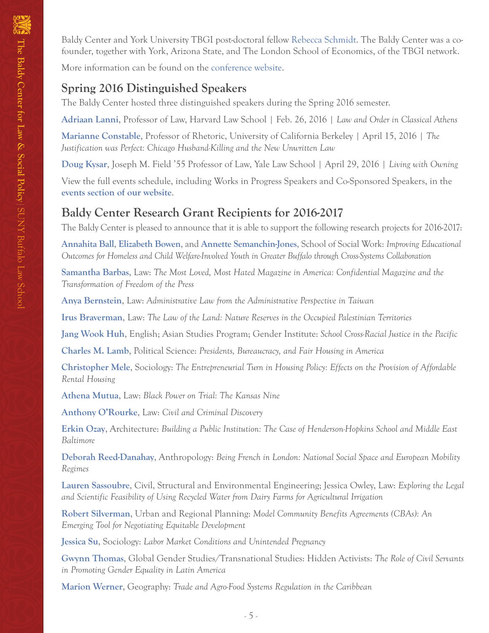Baldy Center and York University TBGI post-doctoral fellow [Rebecca Schmidt](https://www.buffalo.edu/baldycenter/people/postdocs.html#title_5). The Baldy Center was a cofounder, together with York, Arizona State, and The London School of Economics, of the TBGI network.

More information can be found on the [conference website](http://tgiforum.info.yorku.ca/events/2016-2/york-workshop/).

#### **Spring 2016 Distinguished Speakers**

The Baldy Center hosted three distinguished speakers during the Spring 2016 semester.

**[Adriaan Lanni](http://hls.harvard.edu/faculty/directory/10503/Lanni)**, Professor of Law, Harvard Law School | Feb. 26, 2016 | *Law and Order in Classical Athens*

**[Marianne Constable](http://rhetoric.berkeley.edu/faculty-profile/marianne-constable-1)**, Professor of Rhetoric, University of California Berkeley | April 15, 2016 | *The Justification was Perfect: Chicago Husband-Killing and the New Unwritten Law*

**[Doug Kysar](https://www.law.yale.edu/douglas-kysar)**, Joseph M. Field '55 Professor of Law, Yale Law School | April 29, 2016 | *Living with Owning*

View the full events schedule, including Works in Progress Speakers and Co-Sponsored Speakers, in the **[events section of our website](https://www.buffalo.edu/baldycenter/events/speakers.html)**.

#### **Baldy Center Research Grant Recipients for 2016-2017**

The Baldy Center is pleased to announce that it is able to support the following research projects for 2016-2017:

**[Annahita Ball](https://socialwork.buffalo.edu/faculty-research/full-time-faculty/annahita.html)**, **[Elizabeth Bowen](https://socialwork.buffalo.edu/about/our-students-and-faculty-and-alumni/our-faculty.host.html/content/shared/socialwork/home/meet-our-faculty/elizabeth-bowen.detail.html)**, and **[Annette Semanchin-Jones](https://socialwork.buffalo.edu/social-research/research-associates.host.html/content/shared/socialwork/home/meet-our-faculty/annette-semanchin-jones.detail.html)**, School of Social Work: *Improving Educational Outcomes for Homeless and Child Welfare-Involved Youth in Greater Buffalo through Cross-Systems Collaboration*

**[Samantha Barbas](http://www.law.buffalo.edu/faculty/facultyDirectory/barbasSamantha.html)**, Law: *The Most Loved, Most Hated Magazine in America: Confidential Magazine and the Transformation of Freedom of the Press*

**[Anya Bernstein](http://www.law.buffalo.edu/faculty/facultyDirectory/bernsteinAnya.html)**, Law: *Administrative Law from the Administrative Perspective in Taiwan*

**[Irus Braverman](http://www.law.buffalo.edu/faculty/facultyDirectory/BravermanIrus.html)**, Law: *The Law of the Land: Nature Reserves in the Occupied Palestinian Territories*

**[Jang Wook Huh](http://www.buffalo.edu/cas/english/faculty/faculty_directory/jang-wook-huh.html)**, English; Asian Studies Program; Gender Institute: *School Cross-Racial Justice in the Pacific*

**[Charles M. Lamb](http://polsci.buffalo.edu/facultystaff/lamb/)**, Political Science: *Presidents, Bureaucracy, and Fair Housing in America*

**[Christopher Mele](http://sociology.buffalo.edu/faculty-staff/mele/)**, Sociology: *The Entrepreneurial Turn in Housing Policy: Effects on the Provision of Affordable Rental Housing*

**[Athena Mutua](http://www.law.buffalo.edu/faculty/facultyDirectory/MutuaAthena.html)**, Law: *Black Power on Trial: The Kansas Nine*

**[Anthony O'Rourke](http://www.law.buffalo.edu/faculty/facultyDirectory/ORourkeAnthony.html)**, Law: *Civil and Criminal Discovery*

**[Erkin Ozay](http://ap.buffalo.edu/People/faculty/department-of-architecture-faculty.host.html/content/shared/ap/students-faculty-alumni/faculty/Ozay.detail.html)**, Architecture: *Building a Public Institution: The Case of Henderson-Hopkins School and Middle East Baltimore*

**[Deborah Reed-Danahay](https://www.buffalo.edu/cas/anthropology/faculty/faculty_directory/deborah-reed-danahay.html)**, Anthropology: *Being French in London: National Social Space and European Mobility Regimes*

**[Lauren Sassoubre](http://engineering.buffalo.edu/civil-structural-environmental/people/faculty_directory/lauren-sassoubre.html)**, Civil, Structural and Environmental Engineering; Jessica Owley, Law: *Exploring the Legal and Scientific Feasibility of Using Recycled Water from Dairy Farms for Agricultural Irrigation*

**[Robert Silverman](http://ap.buffalo.edu/People/faculty/department-of-urban-and-regional-planning-faculty.host.html/content/shared/ap/students-faculty-alumni/faculty/Silverman.detail.html)**, Urban and Regional Planning: *Model Community Benefits Agreements (CBAs): An Emerging Tool for Negotiating Equitable Development*

**[Jessica Su](http://sociology.buffalo.edu/faculty-staff/su/)**, Sociology: *Labor Market Conditions and Unintended Pregnancy*

**[Gwynn Thomas](http://transnationalstudies.buffalo.edu/people/staff/thomas/)**, Global Gender Studies/Transnational Studies: Hidden Activists: *The Role of Civil Servants in Promoting Gender Equality in Latin America*

**[Marion Werner](https://www.buffalo.edu/cas/geography/faculty/faculty_directory/marion-werner.html)**, Geography: *Trade and Agro-Food Systems Regulation in the Caribbean*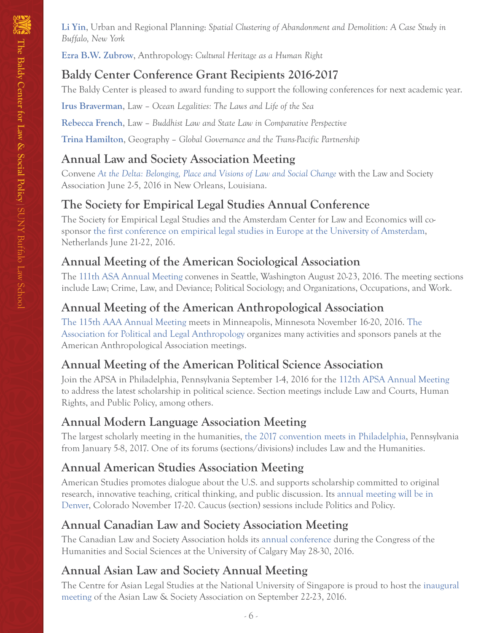**[Li Yin](http://ap.buffalo.edu/People/faculty/department-of-urban-and-regional-planning-faculty.host.html/content/shared/ap/students-faculty-alumni/faculty/Yin.detail.html)**, Urban and Regional Planning: *Spatial Clustering of Abandonment and Demolition: A Case Study in Buffalo, New York*

**[Ezra B.W. Zubrow](http://wings.buffalo.edu/anthropology/Faculty/zubrow.htm)**, Anthropology: *Cultural Heritage as a Human Right*

### **Baldy Center Conference Grant Recipients 2016-2017**

The Baldy Center is pleased to award funding to support the following conferences for next academic year.

**[Irus Braverman](http://www.law.buffalo.edu/faculty/facultyDirectory/BravermanIrus.html)**, Law – *Ocean Legalities: The Laws and Life of the Sea*

**[Rebecca French](http://www.law.buffalo.edu/faculty/facultyDirectory/FrenchRebeccaR.html)**, Law – *Buddhist Law and State Law in Comparative Perspective*

**[Trina Hamilton](http://www.buffalo.edu/cas/geography/faculty/faculty_directory/trina-hamilton.html)**, Geography – *Global Governance and the Trans-Pacific Partnership*

#### **Annual Law and Society Association Meeting**

Convene *[At the Delta: Belonging, Place and Visions of Law and Social Change](http://www.lawandsociety.org/NewOrleans2016/neworleans2016.html)* with the Law and Society Association June 2-5, 2016 in New Orleans, Louisiana.

# **The Society for Empirical Legal Studies Annual Conference**

The Society for Empirical Legal Studies and the Amsterdam Center for Law and Economics will cosponsor [the first conference on empirical legal studies in Europe at the University of Amsterdam](http://www.acle.nl/), Netherlands June 21-22, 2016.

#### **Annual Meeting of the American Sociological Association**

The [111th ASA Annual Meeting](http://www.asanet.org/AM2016/AM_2016.cfm) convenes in Seattle, Washington August 20-23, 2016. The meeting sections include Law; Crime, Law, and Deviance; Political Sociology; and Organizations, Occupations, and Work.

### **Annual Meeting of the American Anthropological Association**

[The 115th AAA Annual Meeting](http://www.americananthro.org/AttendEvents/Content.aspx?ItemNumber=1578&navItemNumber=566) meets in Minneapolis, Minnesota November 16-20, 2016. [The](https://politicalandlegalanthro.org/)  [Association for Political and Legal Anthropology](https://politicalandlegalanthro.org/) organizes many activities and sponsors panels at the American Anthropological Association meetings.

# **Annual Meeting of the American Political Science Association**

Join the APSA in Philadelphia, Pennsylvania September 1-4, 2016 for the [112th APSA Annual Meeting](http://www.apsanet.org/annualmeeting) to address the latest scholarship in political science. Section meetings include Law and Courts, Human Rights, and Public Policy, among others.

# **Annual Modern Language Association Meeting**

The largest scholarly meeting in the humanities, [the 2017 convention meets in Philadelphia](https://www.mla.org/Convention), Pennsylvania from January 5-8, 2017. One of its forums (sections/divisions) includes Law and the Humanities.

# **Annual American Studies Association Meeting**

American Studies promotes dialogue about the U.S. and supports scholarship committed to original research, innovative teaching, critical thinking, and public discussion. Its [annual meeting will be in](http://www.theasa.net/annual_meeting/)  [Denver,](http://www.theasa.net/annual_meeting/) Colorado November 17-20. Caucus (section) sessions include Politics and Policy.

# **Annual Canadian Law and Society Association Meeting**

The Canadian Law and Society Association holds its [annual conference](http://www.acds-clsa.org/?q=en/content/2016-canadian-law-and-society-association-annual-meeting-call-papers-reunion-annuelle-de-0) during the Congress of the Humanities and Social Sciences at the University of Calgary May 28-30, 2016.

# **Annual Asian Law and Society Annual Meeting**

The Centre for Asian Legal Studies at the National University of Singapore is proud to host the [inaugural](http://law.nus.edu.sg/cals/events/ALSA2016/)  [meeting](http://law.nus.edu.sg/cals/events/ALSA2016/) of the Asian Law & Society Association on September 22-23, 2016.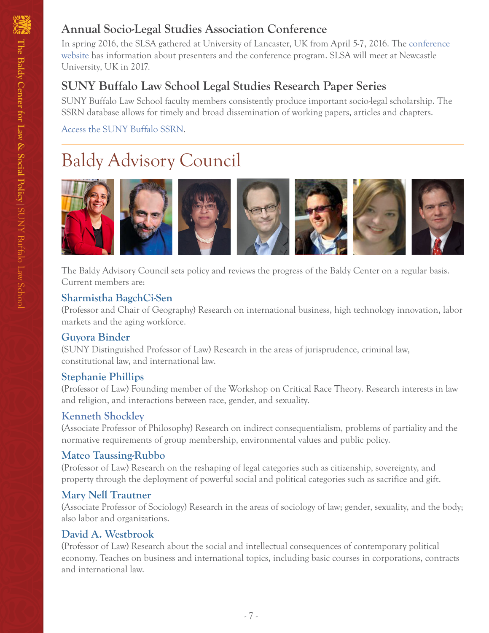In spring 2016, the SLSA gathered at University of Lancaster, UK from April 5-7, 2016. The [conference](http://conference website)  [website](http://conference website) has information about presenters and the conference program. SLSA will meet at Newcastle University, UK in 2017.

# **SUNY Buffalo Law School Legal Studies Research Paper Series**

SUNY Buffalo Law School faculty members consistently produce important socio-legal scholarship. The SSRN database allows for timely and broad dissemination of working papers, articles and chapters.

[Access the SUNY Buffalo SSRN.](http://papers.ssrn.com/sol3/JELJOUR_Results.cfm?form_name=journalbrowse&journal_id=818584)

# Baldy Advisory Council



The Baldy Advisory Council sets policy and reviews the progress of the Baldy Center on a regular basis. Current members are:

#### **Sharmistha BagchCi-Sen**

(Professor and Chair of Geography) Research on international business, high technology innovation, labor markets and the aging workforce.

#### **Guyora Binder**

(SUNY Distinguished Professor of Law) Research in the areas of jurisprudence, criminal law, constitutional law, and international law.

#### **Stephanie Phillips**

(Professor of Law) Founding member of the Workshop on Critical Race Theory. Research interests in law and religion, and interactions between race, gender, and sexuality.

#### **Kenneth Shockley**

(Associate Professor of Philosophy) Research on indirect consequentialism, problems of partiality and the normative requirements of group membership, environmental values and public policy.

#### **Mateo Taussing-Rubbo**

(Professor of Law) Research on the reshaping of legal categories such as citizenship, sovereignty, and property through the deployment of powerful social and political categories such as sacrifice and gift.

#### **Mary Nell Trautner**

(Associate Professor of Sociology) Research in the areas of sociology of law; gender, sexuality, and the body; also labor and organizations.

#### **David A. Westbrook**

(Professor of Law) Research about the social and intellectual consequences of contemporary political economy. Teaches on business and international topics, including basic courses in corporations, contracts and international law.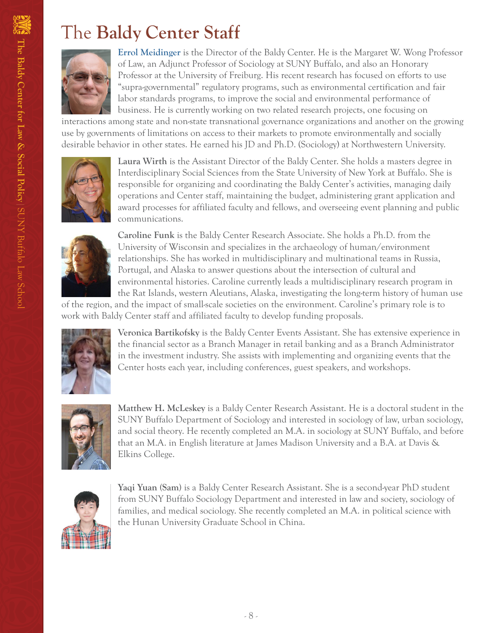# The **Baldy Center Staff**



**Errol Meidinger** is the Director of the Baldy Center. He is the Margaret W. Wong Professor of Law, an Adjunct Professor of Sociology at SUNY Buffalo, and also an Honorary Professor at the University of Freiburg. His recent research has focused on efforts to use "supra-governmental" regulatory programs, such as environmental certification and fair labor standards programs, to improve the social and environmental performance of business. He is currently working on two related research projects, one focusing on

interactions among state and non-state transnational governance organizations and another on the growing use by governments of limitations on access to their markets to promote environmentally and socially desirable behavior in other states. He earned his JD and Ph.D. (Sociology) at Northwestern University.



**Laura Wirth** is the Assistant Director of the Baldy Center. She holds a masters degree in Interdisciplinary Social Sciences from the State University of New York at Buffalo. She is responsible for organizing and coordinating the Baldy Center's activities, managing daily operations and Center staff, maintaining the budget, administering grant application and award processes for affiliated faculty and fellows, and overseeing event planning and public communications.



**Caroline Funk** is the Baldy Center Research Associate. She holds a Ph.D. from the University of Wisconsin and specializes in the archaeology of human/environment relationships. She has worked in multidisciplinary and multinational teams in Russia, Portugal, and Alaska to answer questions about the intersection of cultural and environmental histories. Caroline currently leads a multidisciplinary research program in the Rat Islands, western Aleutians, Alaska, investigating the long-term history of human use

of the region, and the impact of small-scale societies on the environment. Caroline's primary role is to work with Baldy Center staff and affiliated faculty to develop funding proposals.



**Veronica Bartikofsky** is the Baldy Center Events Assistant. She has extensive experience in the financial sector as a Branch Manager in retail banking and as a Branch Administrator in the investment industry. She assists with implementing and organizing events that the Center hosts each year, including conferences, guest speakers, and workshops.



**Matthew H. McLeskey** is a Baldy Center Research Assistant. He is a doctoral student in the SUNY Buffalo Department of Sociology and interested in sociology of law, urban sociology, and social theory. He recently completed an M.A. in sociology at SUNY Buffalo, and before that an M.A. in English literature at James Madison University and a B.A. at Davis & Elkins College.



**Yaqi Yuan (Sam)** is a Baldy Center Research Assistant. She is a second-year PhD student from SUNY Buffalo Sociology Department and interested in law and society, sociology of families, and medical sociology. She recently completed an M.A. in political science with the Hunan University Graduate School in China.